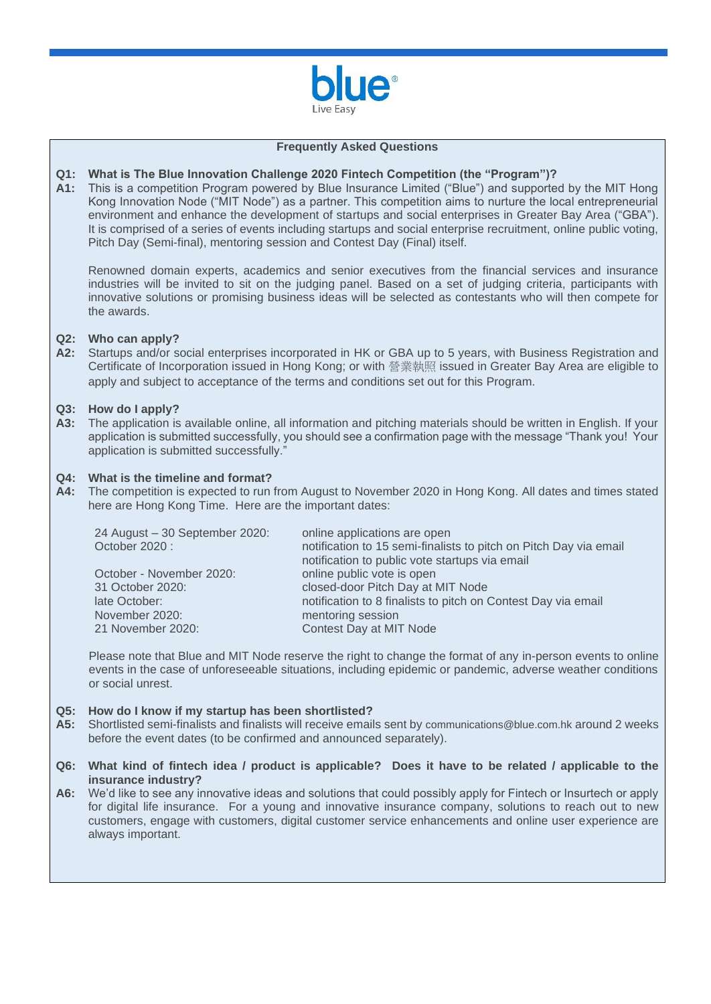

#### **Frequently Asked Questions**

# **Q1: What is The Blue Innovation Challenge 2020 Fintech Competition (the "Program")?**

**A1:** This is a competition Program powered by Blue Insurance Limited ("Blue") and supported by the MIT Hong Kong Innovation Node ("MIT Node") as a partner. This competition aims to nurture the local entrepreneurial environment and enhance the development of startups and social enterprises in Greater Bay Area ("GBA"). It is comprised of a series of events including startups and social enterprise recruitment, online public voting, Pitch Day (Semi-final), mentoring session and Contest Day (Final) itself.

Renowned domain experts, academics and senior executives from the financial services and insurance industries will be invited to sit on the judging panel. Based on a set of judging criteria, participants with innovative solutions or promising business ideas will be selected as contestants who will then compete for the awards.

### **Q2: Who can apply?**

**A2:** Startups and/or social enterprises incorporated in HK or GBA up to 5 years, with Business Registration and Certificate of Incorporation issued in Hong Kong; or with 營業執照 issued in Greater Bay Area are eligible to apply and subject to acceptance of the terms and conditions set out for this Program.

### **Q3: How do I apply?**

**A3:** The application is available online, all information and pitching materials should be written in English. If your application is submitted successfully, you should see a confirmation page with the message "Thank you! Your application is submitted successfully."

### **Q4: What is the timeline and format?**

**A4:** The competition is expected to run from August to November 2020 in Hong Kong. All dates and times stated here are Hong Kong Time. Here are the important dates:

| 24 August - 30 September 2020:<br>October 2020: | online applications are open<br>notification to 15 semi-finalists to pitch on Pitch Day via email<br>notification to public vote startups via email |
|-------------------------------------------------|-----------------------------------------------------------------------------------------------------------------------------------------------------|
| October - November 2020:                        | online public vote is open                                                                                                                          |
|                                                 |                                                                                                                                                     |
|                                                 |                                                                                                                                                     |
| November 2020:                                  | mentoring session                                                                                                                                   |
| 21 November 2020:                               | Contest Day at MIT Node                                                                                                                             |
| 31 October 2020:<br>late October:               | closed-door Pitch Day at MIT Node<br>notification to 8 finalists to pitch on Contest Day via email                                                  |

Please note that Blue and MIT Node reserve the right to change the format of any in-person events to online events in the case of unforeseeable situations, including epidemic or pandemic, adverse weather conditions or social unrest.

### **Q5: How do I know if my startup has been shortlisted?**

- **A5:** Shortlisted semi-finalists and finalists will receive emails sent by [communications@blue.com.hk](mailto:communications@blue.com.hk) around 2 weeks before the event dates (to be confirmed and announced separately).
- **Q6: What kind of fintech idea / product is applicable? Does it have to be related / applicable to the insurance industry?**
- **A6:** We'd like to see any innovative ideas and solutions that could possibly apply for Fintech or Insurtech or apply for digital life insurance. For a young and innovative insurance company, solutions to reach out to new customers, engage with customers, digital customer service enhancements and online user experience are always important.